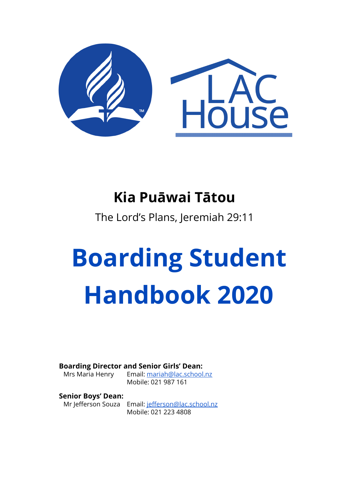

# **Kia Puāwai Tātou**

The Lord's Plans, Jeremiah 29:11

# **Boarding Student Handbook 2020**

#### **Boarding Director and Senior Girls' Dean:**

Mrs Maria Henry Email: [mariah@lac.school.nz](mailto: mariah@lac.school.nz) Mobile: 021 987 161

#### **Senior Boys' Dean:**

Mr Jefferson Souza Email: [jefferson@lac.school.nz](mailto: jefferson@lac.school.nz) Mobile: 021 223 4808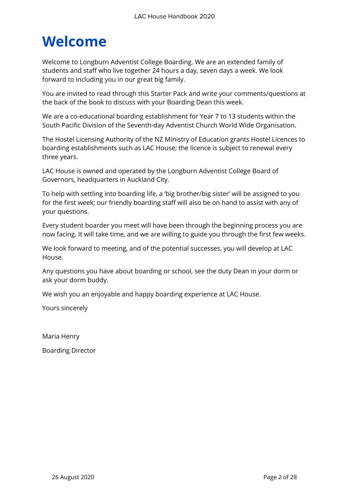# **Welcome**

Welcome to Longburn Adventist College Boarding. We are an extended family of students and staff who live together 24 hours a day, seven days a week. We look forward to including you in our great big family.

You are invited to read through this Starter Pack and write your comments/questions at the back of the book to discuss with your Boarding Dean this week.

We are a co-educational boarding establishment for Year 7 to 13 students within the South Pacific Division of the Seventh-day Adventist Church World Wide Organisation.

The Hostel Licensing Authority of the NZ Ministry of Education grants Hostel Licences to boarding establishments such as LAC House; the licence is subject to renewal every three years.

LAC House is owned and operated by the Longburn Adventist College Board of Governors, headquarters in Auckland City.

To help with settling into boarding life, a 'big brother/big sister' will be assigned to you for the first week; our friendly boarding staff will also be on hand to assist with any of your questions.

Every student boarder you meet will have been through the beginning process you are now facing. It will take time, and we are willing to guide you through the first few weeks.

We look forward to meeting, and of the potential successes, you will develop at LAC House.

Any questions you have about boarding or school, see the duty Dean in your dorm or ask your dorm buddy.

We wish you an enjoyable and happy boarding experience at LAC House.

Yours sincerely

Maria Henry

Boarding Director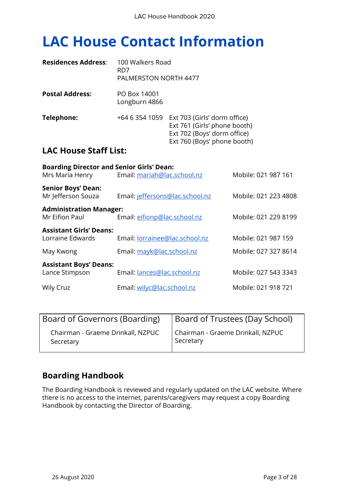# **LAC House Contact Information**

| <b>Residences Address:</b>   | 100 Walkers Road<br>RD7<br><b>PALMERSTON NORTH 4477</b> |                                                                                                                                           |
|------------------------------|---------------------------------------------------------|-------------------------------------------------------------------------------------------------------------------------------------------|
| <b>Postal Address:</b>       | PO Box 14001<br>Longburn 4866                           |                                                                                                                                           |
| Telephone:                   |                                                         | +64 6 354 1059 Ext 703 (Girls' dorm office)<br>Ext 761 (Girls' phone booth)<br>Ext 702 (Boys' dorm office)<br>Ext 760 (Boys' phone booth) |
| <b>LAC House Staff List:</b> |                                                         |                                                                                                                                           |

| <b>Boarding Director and Senior Girls' Dean:</b>   |                                 |                      |
|----------------------------------------------------|---------------------------------|----------------------|
| Mrs Maria Henry                                    | Email: mariah@lac.school.nz     | Mobile: 021 987 161  |
| <b>Senior Boys' Dean:</b><br>Mr Jefferson Souza    | Email: jeffersons@lac.school.nz | Mobile: 021 223 4808 |
| <b>Administration Manager:</b><br>Mr Eifion Paul   | Email: eifionp@lac.school.nz    | Mobile: 021 229 8199 |
| <b>Assistant Girls' Deans:</b><br>Lorraine Edwards | Email: lorrainee@lac.school.nz  | Mobile: 021 987 159  |
| May Kwong                                          | Email: mayk@lac.school.nz       | Mobile: 027 327 8614 |
| <b>Assistant Boys' Deans:</b>                      |                                 |                      |
| Lance Stimpson                                     | Email: lances@lac.school.nz     | Mobile: 027 543 3343 |
| Wily Cruz                                          | Email: wilyc@lac.school.nz      | Mobile: 021 918 721  |

| Board of Governors (Boarding)     | Board of Trustees (Day School)    |  |
|-----------------------------------|-----------------------------------|--|
| Chairman - Graeme Drinkall, NZPUC | Chairman - Graeme Drinkall, NZPUC |  |
| Secretary                         | Secretary                         |  |

#### **Boarding Handbook**

The Boarding Handbook is reviewed and regularly updated on the LAC website. Where there is no access to the internet, parents/caregivers may request a copy Boarding Handbook by contacting the Director of Boarding.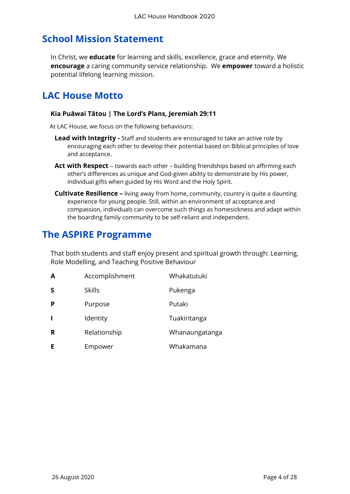### **School Mission Statement**

In Christ, we **educate** for learning and skills, excellence, grace and eternity. We **encourage** a caring community service relationship. We **empower** toward a holistic potential lifelong learning mission.

### **LAC House Motto**

#### **Kia Puāwai Tātou | The Lord's Plans, Jeremiah 29:11**

At LAC House, we focus on the following behaviours:

- **Lead with Integrity -** Staff and students are encouraged to take an active role by encouraging each other to develop their potential based on Biblical principles of love and acceptance.
- **Act with Respect** towards each other building friendships based on affirming each other's differences as unique and God-given ability to demonstrate by His power, individual gifts when guided by His Word and the Holy Spirit.
- **Cultivate Resilience –** living away from home, community, country is quite a daunting experience for young people. Still, within an environment of acceptance and compassion, individuals can overcome such things as homesickness and adapt within the boarding family community to be self-reliant and independent.

### **The ASPIRE Programme**

That both students and staff enjoy present and spiritual growth through: Learning, Role Modelling, and Teaching Positive Behaviour

| A | Accomplishment | Whakatutuki    |
|---|----------------|----------------|
| S | <b>Skills</b>  | Pukenga        |
| P | Purpose        | Putaki         |
| L | Identity       | Tuakiritanga   |
| R | Relationship   | Whanaungatanga |
| Е | Empower        | Whakamana      |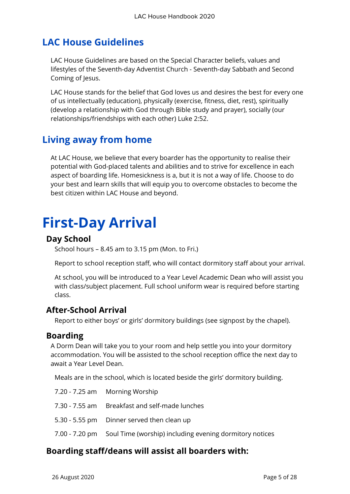### **LAC House Guidelines**

LAC House Guidelines are based on the Special Character beliefs, values and lifestyles of the Seventh-day Adventist Church - Seventh-day Sabbath and Second Coming of Jesus.

LAC House stands for the belief that God loves us and desires the best for every one of us intellectually (education), physically (exercise, fitness, diet, rest), spiritually (develop a relationship with God through Bible study and prayer), socially (our relationships/friendships with each other) Luke 2:52.

### **Living away from home**

At LAC House, we believe that every boarder has the opportunity to realise their potential with God-placed talents and abilities and to strive for excellence in each aspect of boarding life. Homesickness is a, but it is not a way of life. Choose to do your best and learn skills that will equip you to overcome obstacles to become the best citizen within LAC House and beyond.

# **First-Day Arrival**

#### **Day School**

School hours – 8.45 am to 3.15 pm (Mon. to Fri.)

Report to school reception staff, who will contact dormitory staff about your arrival.

At school, you will be introduced to a Year Level Academic Dean who will assist you with class/subject placement. Full school uniform wear is required before starting class.

#### **After-School Arrival**

Report to either boys' or girls' dormitory buildings (see signpost by the chapel).

#### **Boarding**

A Dorm Dean will take you to your room and help settle you into your dormitory accommodation. You will be assisted to the school reception office the next day to await a Year Level Dean.

Meals are in the school, which is located beside the girls' dormitory building.

| 7.20 - 7.25 am Morning Worship                                         |
|------------------------------------------------------------------------|
| 7.30 - 7.55 am Breakfast and self-made lunches                         |
| 5.30 - 5.55 pm Dinner served then clean up                             |
| 7.00 - 7.20 pm Soul Time (worship) including evening dormitory notices |

#### **Boarding staff/deans will assist all boarders with:**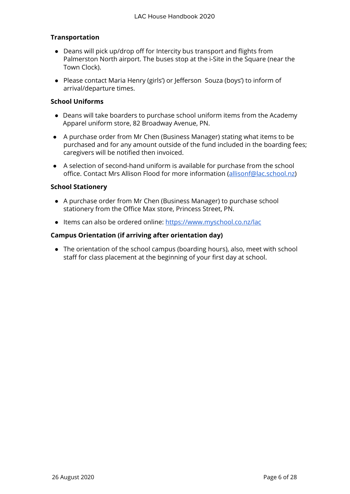#### **Transportation**

- Deans will pick up/drop off for Intercity bus transport and flights from Palmerston North airport. The buses stop at the i-Site in the Square (near the Town Clock).
- Please contact Maria Henry (girls') or Jefferson Souza (boys') to inform of arrival/departure times.

#### **School Uniforms**

- Deans will take boarders to purchase school uniform items from the Academy Apparel uniform store, 82 Broadway Avenue, PN.
- A purchase order from Mr Chen (Business Manager) stating what items to be purchased and for any amount outside of the fund included in the boarding fees; caregivers will be notified then invoiced.
- A selection of second-hand uniform is available for purchase from the school office. Contact Mrs Allison Flood for more information [\(allisonf@lac.school.nz](mailto:allisonf@lac.school.nz))

#### **School Stationery**

- A purchase order from Mr Chen (Business Manager) to purchase school stationery from the Office Max store, Princess Street, PN.
- Items can also be ordered online: <https://www.myschool.co.nz/lac>

#### **Campus Orientation (if arriving after orientation day)**

• The orientation of the school campus (boarding hours), also, meet with school staff for class placement at the beginning of your first day at school.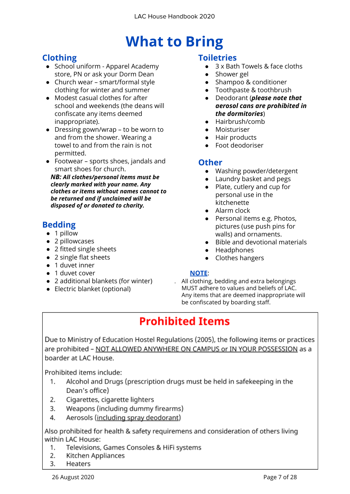# **What to Bring**

#### **Clothing**

- School uniform Apparel Academy store, PN or ask your Dorm Dean
- Church wear smart/formal style clothing for winter and summer
- Modest casual clothes for after school and weekends (the deans will confiscate any items deemed inappropriate).
- Dressing gown/wrap to be worn to and from the shower. Wearing a towel to and from the rain is not permitted.
- Footwear sports shoes, jandals and smart shoes for church.

*NB: All clothes/personal items must be clearly marked with your name. Any clothes or items without names cannot to be returned and if unclaimed will be disposed of or donated to charity.*

#### **Bedding**

- 1 pillow
- 2 pillowcases
- 2 fitted single sheets
- 2 single flat sheets
- 1 duvet inner
- 1 duvet cover
- 2 additional blankets (for winter)
- Electric blanket (optional)

#### **Toiletries**

- 3 x Bath Towels & face cloths
- Shower gel
- Shampoo & conditioner
- Toothpaste & toothbrush
- Deodorant (*please note that aerosol cans are prohibited in the dormitories*)
- Hairbrush/comb
- Moisturiser
- Hair products
- Foot deodoriser

#### **Other**

- Washing powder/detergent
- Laundry basket and pegs
- Plate, cutlery and cup for personal use in the kitchenette
- Alarm clock
- Personal items e.g. Photos, pictures (use push pins for walls) and ornaments.
- Bible and devotional materials
- Headphones
- Clothes hangers

#### **NOTE**:

. All clothing, bedding and extra belongings MUST adhere to values and beliefs of LAC. Any items that are deemed inappropriate will be confiscated by boarding staff.

### **Prohibited Items**

Due to Ministry of Education Hostel Regulations (2005), the following items or practices are prohibited - NOT ALLOWED ANYWHERE ON CAMPUS or IN YOUR POSSESSION as a boarder at LAC House.

Prohibited items include:

- Alcohol and Drugs (prescription drugs must be held in safekeeping in the  $1_{-}$ Dean's office)
- 2. Cigarettes, cigarette lighters
- 3. Weapons (including dummy firearms)
- 4. Aerosols (including spray deodorant)

Also prohibited for health & safety requiremens and consideration of others living within LAC House:

- 1. Televisions, Games Consoles & HiFi systems
- Kitchen Appliances 2.
- 3. Heaters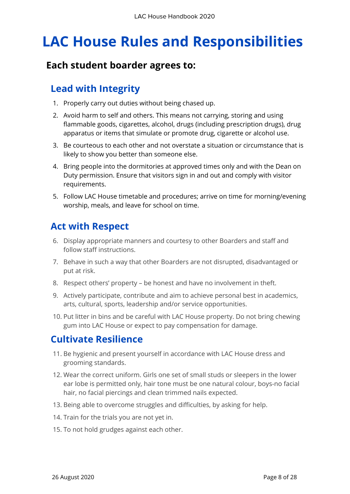# **LAC House Rules and Responsibilities**

### **Each student boarder agrees to:**

### **Lead with Integrity**

- 1. Properly carry out duties without being chased up.
- 2. Avoid harm to self and others. This means not carrying, storing and using flammable goods, cigarettes, alcohol, drugs (including prescription drugs), drug apparatus or items that simulate or promote drug, cigarette or alcohol use.
- 3. Be courteous to each other and not overstate a situation or circumstance that is likely to show you better than someone else.
- 4. Bring people into the dormitories at approved times only and with the Dean on Duty permission. Ensure that visitors sign in and out and comply with visitor requirements.
- 5. Follow LAC House timetable and procedures; arrive on time for morning/evening worship, meals, and leave for school on time.

### **Act with Respect**

- 6. Display appropriate manners and courtesy to other Boarders and staff and follow staff instructions.
- 7. Behave in such a way that other Boarders are not disrupted, disadvantaged or put at risk.
- 8. Respect others' property be honest and have no involvement in theft.
- 9. Actively participate, contribute and aim to achieve personal best in academics, arts, cultural, sports, leadership and/or service opportunities.
- 10. Put litter in bins and be careful with LAC House property. Do not bring chewing gum into LAC House or expect to pay compensation for damage.

### **Cultivate Resilience**

- 11. Be hygienic and present yourself in accordance with LAC House dress and grooming standards.
- 12. Wear the correct uniform. Girls one set of small studs or sleepers in the lower ear lobe is permitted only, hair tone must be one natural colour, boys-no facial hair, no facial piercings and clean trimmed nails expected.
- 13. Being able to overcome struggles and difficulties, by asking for help.
- 14. Train for the trials you are not yet in.
- 15. To not hold grudges against each other.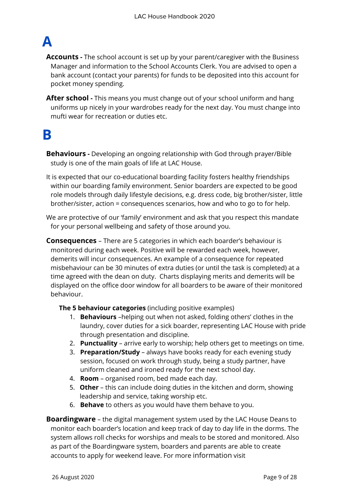# **A**

**Accounts -** The school account is set up by your parent/caregiver with the Business Manager and information to the School Accounts Clerk. You are advised to open a bank account (contact your parents) for funds to be deposited into this account for pocket money spending.

**After school -** This means you must change out of your school uniform and hang uniforms up nicely in your wardrobes ready for the next day. You must change into mufti wear for recreation or duties etc.

# **B**

**Behaviours -** Developing an ongoing relationship with God through prayer/Bible study is one of the main goals of life at LAC House.

- It is expected that our co-educational boarding facility fosters healthy friendships within our boarding family environment. Senior boarders are expected to be good role models through daily lifestyle decisions, e.g. dress code, big brother/sister, little brother/sister, action = consequences scenarios, how and who to go to for help.
- We are protective of our 'family' environment and ask that you respect this mandate for your personal wellbeing and safety of those around you.
- **Consequences**  There are 5 categories in which each boarder's behaviour is monitored during each week. Positive will be rewarded each week, however, demerits will incur consequences. An example of a consequence for repeated misbehaviour can be 30 minutes of extra duties (or until the task is completed) at a time agreed with the dean on duty. Charts displaying merits and demerits will be displayed on the office door window for all boarders to be aware of their monitored behaviour.

**The 5 behaviour categories** (including positive examples)

- 1. **Behaviours** –helping out when not asked, folding others' clothes in the laundry, cover duties for a sick boarder, representing LAC House with pride through presentation and discipline.
- 2. **Punctuality** arrive early to worship; help others get to meetings on time.
- 3. **Preparation/Study** always have books ready for each evening study session, focused on work through study, being a study partner, have uniform cleaned and ironed ready for the next school day.
- 4. **Room** organised room, bed made each day.
- 5. **Other** this can include doing duties in the kitchen and dorm, showing leadership and service, taking worship etc.
- 6. **Behave** to others as you would have them behave to you.

**Boardingware** – the digital management system used by the LAC House Deans to monitor each boarder's location and keep track of day to day life in the dorms. The system allows roll checks for worships and meals to be stored and monitored. Also as part of the Boardingware system, boarders and parents are able to create accounts to apply for weekend leave. For more information visit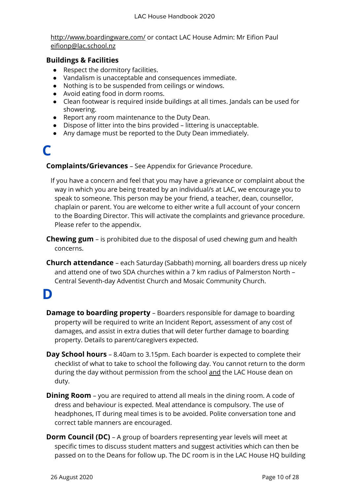<http://www.boardingware.com/> or contact LAC House Admin: Mr Eifion Paul [eifionp@lac.school.nz](mailto:eifionp@lac.school.nz)

#### **Buildings & Facilities**

- **●** Respect the dormitory facilities.
- **●** Vandalism is unacceptable and consequences immediate.
- **●** Nothing is to be suspended from ceilings or windows.
- **●** Avoid eating food in dorm rooms.
- **●** Clean footwear is required inside buildings at all times. Jandals can be used for showering.
- **●** Report any room maintenance to the Duty Dean.
- **●** Dispose of litter into the bins provided littering is unacceptable.
- **●** Any damage must be reported to the Duty Dean immediately.

# **C**

**Complaints/Grievances** – See Appendix for Grievance Procedure.

If you have a concern and feel that you may have a grievance or complaint about the way in which you are being treated by an individual/s at LAC, we encourage you to speak to someone. This person may be your friend, a teacher, dean, counsellor, chaplain or parent. You are welcome to either write a full account of your concern to the Boarding Director. This will activate the complaints and grievance procedure. Please refer to the appendix.

- **Chewing gum** is prohibited due to the disposal of used chewing gum and health concerns.
- **Church attendance** each Saturday (Sabbath) morning, all boarders dress up nicely and attend one of two SDA churches within a 7 km radius of Palmerston North – Central Seventh-day Adventist Church and Mosaic Community Church.

# **D**

- **Damage to boarding property** Boarders responsible for damage to boarding property will be required to write an Incident Report, assessment of any cost of damages, and assist in extra duties that will deter further damage to boarding property. Details to parent/caregivers expected.
- **Day School hours** 8.40am to 3.15pm. Each boarder is expected to complete their checklist of what to take to school the following day. You cannot return to the dorm during the day without permission from the school and the LAC House dean on duty.
- **Dining Room** you are required to attend all meals in the dining room. A code of dress and behaviour is expected. Meal attendance is compulsory. The use of headphones, IT during meal times is to be avoided. Polite conversation tone and correct table manners are encouraged.
- **Dorm Council (DC)** A group of boarders representing year levels will meet at specific times to discuss student matters and suggest activities which can then be passed on to the Deans for follow up. The DC room is in the LAC House HQ building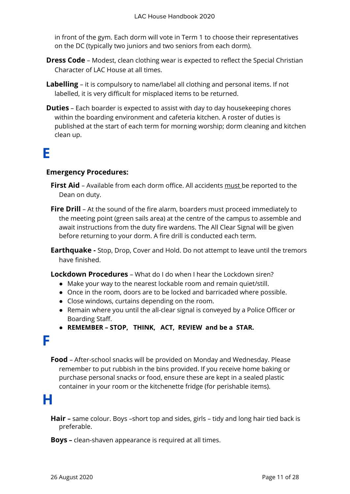in front of the gym. Each dorm will vote in Term 1 to choose their representatives on the DC (typically two juniors and two seniors from each dorm).

- **Dress Code** Modest, clean clothing wear is expected to reflect the Special Christian Character of LAC House at all times.
- **Labelling**  it is compulsory to name/label all clothing and personal items. If not labelled, it is very difficult for misplaced items to be returned.
- **Duties** Each boarder is expected to assist with day to day housekeeping chores within the boarding environment and cafeteria kitchen. A roster of duties is published at the start of each term for morning worship; dorm cleaning and kitchen clean up.

# **E**

#### **Emergency Procedures:**

- **First Aid**  Available from each dorm office. All accidents must be reported to the Dean on duty.
- **Fire Drill** At the sound of the fire alarm, boarders must proceed immediately to the meeting point (green sails area) at the centre of the campus to assemble and await instructions from the duty fire wardens. The All Clear Signal will be given before returning to your dorm. A fire drill is conducted each term.
- **Earthquake -** Stop, Drop, Cover and Hold. Do not attempt to leave until the tremors have finished.

**Lockdown Procedures** – What do I do when I hear the Lockdown siren?

- Make your way to the nearest lockable room and remain quiet/still.
- Once in the room, doors are to be locked and barricaded where possible.
- Close windows, curtains depending on the room.
- Remain where you until the all-clear signal is conveyed by a Police Officer or Boarding Staff.
- **● REMEMBER – STOP, THINK, ACT, REVIEW and be a STAR.**

### **F**

**Food** – After-school snacks will be provided on Monday and Wednesday. Please remember to put rubbish in the bins provided. If you receive home baking or purchase personal snacks or food, ensure these are kept in a sealed plastic container in your room or the kitchenette fridge (for perishable items).

# **H**

**Hair –** same colour. Boys –short top and sides, girls – tidy and long hair tied back is preferable.

**Boys –** clean-shaven appearance is required at all times.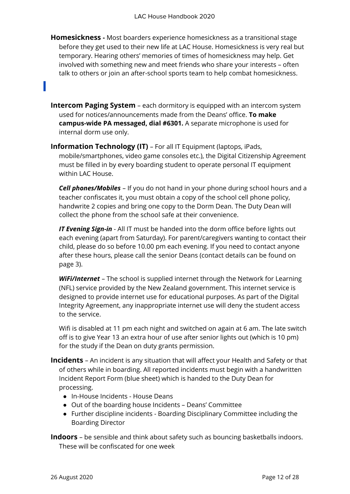- **Homesickness -** Most boarders experience homesickness as a transitional stage before they get used to their new life at LAC House. Homesickness is very real but temporary. Hearing others' memories of times of homesickness may help. Get involved with something new and meet friends who share your interests – often talk to others or join an after-school sports team to help combat homesickness.
- **Intercom Paging System** each dormitory is equipped with an intercom system used for notices/announcements made from the Deans' office. **To make campus-wide PA messaged, dial #6301.** A separate microphone is used for internal dorm use only.
- **Information Technology (IT)** For all IT Equipment (laptops, iPads, mobile/smartphones, video game consoles etc.), the Digital Citizenship Agreement must be filled in by every boarding student to operate personal IT equipment within LAC House.

*Cell phones/Mobiles* – If you do not hand in your phone during school hours and a teacher confiscates it, you must obtain a copy of the school cell phone policy, handwrite 2 copies and bring one copy to the Dorm Dean. The Duty Dean will collect the phone from the school safe at their convenience.

*IT Evening Sign-in* - All IT must be handed into the dorm office before lights out each evening (apart from Saturday). For parent/caregivers wanting to contact their child, please do so before 10.00 pm each evening. If you need to contact anyone after these hours, please call the senior Deans (contact details can be found on page 3).

**WiFi/Internet** – The school is supplied internet through the Network for Learning (NFL) service provided by the New Zealand government. This internet service is designed to provide internet use for educational purposes. As part of the Digital Integrity Agreement, any inappropriate internet use will deny the student access to the service.

Wifi is disabled at 11 pm each night and switched on again at 6 am. The late switch off is to give Year 13 an extra hour of use after senior lights out (which is 10 pm) for the study if the Dean on duty grants permission.

- **Incidents**  An incident is any situation that will affect your Health and Safety or that of others while in boarding. All reported incidents must begin with a handwritten Incident Report Form (blue sheet) which is handed to the Duty Dean for processing.
	- In-House Incidents House Deans
	- Out of the boarding house Incidents Deans' Committee
	- Further discipline incidents Boarding Disciplinary Committee including the Boarding Director

**Indoors** – be sensible and think about safety such as bouncing basketballs indoors. These will be confiscated for one week

**I**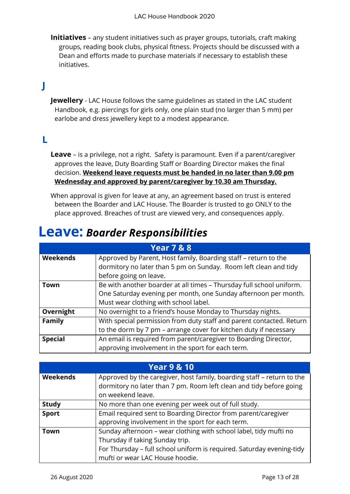**Initiatives** – any student initiatives such as prayer groups, tutorials, craft making groups, reading book clubs, physical fitness. Projects should be discussed with a Dean and efforts made to purchase materials if necessary to establish these initiatives.

### **J**

**Jewellery** - LAC House follows the same guidelines as stated in the LAC student Handbook, e.g. piercings for girls only, one plain stud (no larger than 5 mm) per earlobe and dress jewellery kept to a modest appearance.

#### **L**

**Leave** – is a privilege, not a right. Safety is paramount. Even if a parent/caregiver approves the leave, Duty Boarding Staff or Boarding Director makes the final decision. **Weekend leave requests must be handed in no later than 9.00 pm Wednesday and approved by parent/caregiver by 10.30 am Thursday.**

When approval is given for leave at any, an agreement based on trust is entered between the Boarder and LAC House. The Boarder is trusted to go ONLY to the place approved. Breaches of trust are viewed very, and consequences apply.

### **Leave:** *Boarder Responsibilities*

| <b>Year 7 &amp; 8</b> |                                                                      |
|-----------------------|----------------------------------------------------------------------|
| <b>Weekends</b>       | Approved by Parent, Host family, Boarding staff - return to the      |
|                       | dormitory no later than 5 pm on Sunday. Room left clean and tidy     |
|                       | before going on leave.                                               |
| Town                  | Be with another boarder at all times - Thursday full school uniform. |
|                       | One Saturday evening per month, one Sunday afternoon per month.      |
|                       | Must wear clothing with school label.                                |
| Overnight             | No overnight to a friend's house Monday to Thursday nights.          |
| <b>Family</b>         | With special permission from duty staff and parent contacted. Return |
|                       | to the dorm by 7 pm - arrange cover for kitchen duty if necessary    |
| <b>Special</b>        | An email is required from parent/caregiver to Boarding Director,     |
|                       | approving involvement in the sport for each term.                    |

| <b>Year 9 &amp; 10</b> |                                                                                                                                                                    |
|------------------------|--------------------------------------------------------------------------------------------------------------------------------------------------------------------|
| <b>Weekends</b>        | Approved by the caregiver, host family, boarding staff – return to the<br>dormitory no later than 7 pm. Room left clean and tidy before going<br>on weekend leave. |
| <b>Study</b>           | No more than one evening per week out of full study.                                                                                                               |
| <b>Sport</b>           | Email required sent to Boarding Director from parent/caregiver<br>approving involvement in the sport for each term.                                                |
|                        |                                                                                                                                                                    |
| Town                   | Sunday afternoon - wear clothing with school label, tidy mufti no                                                                                                  |
|                        | Thursday if taking Sunday trip.                                                                                                                                    |
|                        | For Thursday - full school uniform is required. Saturday evening-tidy                                                                                              |
|                        | mufti or wear LAC House hoodie.                                                                                                                                    |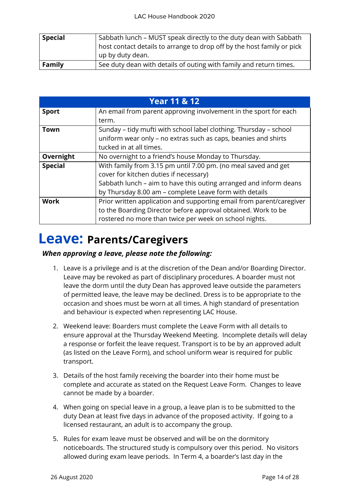| <b>Special</b> | Sabbath lunch – MUST speak directly to the duty dean with Sabbath      |
|----------------|------------------------------------------------------------------------|
|                | nost contact details to arrange to drop off by the host family or pick |
|                | up by duty dean.                                                       |
| Family         | See duty dean with details of outing with family and return times.     |

|                | <b>Year 11 &amp; 12</b>                                              |
|----------------|----------------------------------------------------------------------|
| <b>Sport</b>   | An email from parent approving involvement in the sport for each     |
|                | term.                                                                |
| Town           | Sunday – tidy mufti with school label clothing. Thursday – school    |
|                | uniform wear only - no extras such as caps, beanies and shirts       |
|                | tucked in at all times.                                              |
| Overnight      | No overnight to a friend's house Monday to Thursday.                 |
| <b>Special</b> | With family from 3.15 pm until 7.00 pm. (no meal saved and get       |
|                | cover for kitchen duties if necessary)                               |
|                | Sabbath lunch – aim to have this outing arranged and inform deans    |
|                | by Thursday 8.00 am - complete Leave form with details               |
| <b>Work</b>    | Prior written application and supporting email from parent/caregiver |
|                | to the Boarding Director before approval obtained. Work to be        |
|                | rostered no more than twice per week on school nights.               |

# **Leave: Parents/Caregivers**

#### *When approving a leave, please note the following:*

- 1. Leave is a privilege and is at the discretion of the Dean and/or Boarding Director. Leave may be revoked as part of disciplinary procedures. A boarder must not leave the dorm until the duty Dean has approved leave outside the parameters of permitted leave, the leave may be declined. Dress is to be appropriate to the occasion and shoes must be worn at all times. A high standard of presentation and behaviour is expected when representing LAC House.
- 2. Weekend leave: Boarders must complete the Leave Form with all details to ensure approval at the Thursday Weekend Meeting. Incomplete details will delay a response or forfeit the leave request. Transport is to be by an approved adult (as listed on the Leave Form), and school uniform wear is required for public transport.
- 3. Details of the host family receiving the boarder into their home must be complete and accurate as stated on the Request Leave Form. Changes to leave cannot be made by a boarder.
- 4. When going on special leave in a group, a leave plan is to be submitted to the duty Dean at least five days in advance of the proposed activity. If going to a licensed restaurant, an adult is to accompany the group.
- 5. Rules for exam leave must be observed and will be on the dormitory noticeboards. The structured study is compulsory over this period. No visitors allowed during exam leave periods. In Term 4, a boarder's last day in the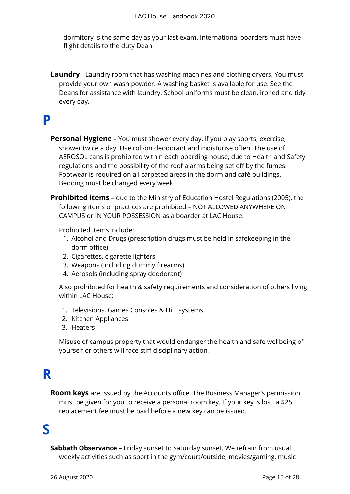dormitory is the same day as your last exam. International boarders must have flight details to the duty Dean

**Laundry** - Laundry room that has washing machines and clothing dryers. You must provide your own wash powder. A washing basket is available for use. See the Deans for assistance with laundry. School uniforms must be clean, ironed and tidy every day.

### **P**

- **Personal Hygiene** You must shower every day. If you play sports, exercise, shower twice a day. Use roll-on deodorant and moisturise often. The use of AEROSOL cans is prohibited within each boarding house, due to Health and Safety regulations and the possibility of the roof alarms being set off by the fumes. Footwear is required on all carpeted areas in the dorm and café buildings. Bedding must be changed every week.
- **Prohibited items** due to the Ministry of Education Hostel Regulations (2005), the following items or practices are prohibited - NOT ALLOWED ANYWHERE ON CAMPUS or IN YOUR POSSESSION as a boarder at LAC House.

Prohibited items include:

- 1. Alcohol and Drugs (prescription drugs must be held in safekeeping in the dorm office)
- 2. Cigarettes, cigarette lighters
- 3. Weapons (including dummy firearms)
- 4. Aerosols (including spray deodorant)

Also prohibited for health & safety requirements and consideration of others living within LAC House:

- 1. Televisions, Games Consoles & HiFi systems
- 2. Kitchen Appliances
- 3. Heaters

Misuse of campus property that would endanger the health and safe wellbeing of yourself or others will face stiff disciplinary action.

# **R**

**Room keys** are issued by the Accounts office. The Business Manager's permission must be given for you to receive a personal room key. If your key is lost, a \$25 replacement fee must be paid before a new key can be issued.

# **S**

**Sabbath Observance** – Friday sunset to Saturday sunset. We refrain from usual weekly activities such as sport in the gym/court/outside, movies/gaming, music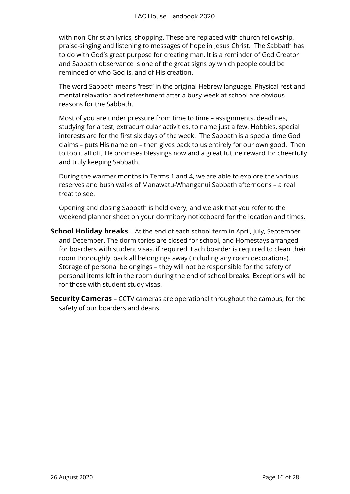with non-Christian lyrics, shopping. These are replaced with church fellowship, praise-singing and listening to messages of hope in Jesus Christ. The Sabbath has to do with God's great purpose for creating man. It is a reminder of God Creator and Sabbath observance is one of the great signs by which people could be reminded of who God is, and of His creation.

The word Sabbath means "rest" in the original Hebrew language. Physical rest and mental relaxation and refreshment after a busy week at school are obvious reasons for the Sabbath.

Most of you are under pressure from time to time – assignments, deadlines, studying for a test, extracurricular activities, to name just a few. Hobbies, special interests are for the first six days of the week. The Sabbath is a special time God claims – puts His name on – then gives back to us entirely for our own good. Then to top it all off, He promises blessings now and a great future reward for cheerfully and truly keeping Sabbath.

During the warmer months in Terms 1 and 4, we are able to explore the various reserves and bush walks of Manawatu-Whanganui Sabbath afternoons – a real treat to see.

Opening and closing Sabbath is held every, and we ask that you refer to the weekend planner sheet on your dormitory noticeboard for the location and times.

- **School Holiday breaks** At the end of each school term in April, July, September and December. The dormitories are closed for school, and Homestays arranged for boarders with student visas, if required. Each boarder is required to clean their room thoroughly, pack all belongings away (including any room decorations). Storage of personal belongings – they will not be responsible for the safety of personal items left in the room during the end of school breaks. Exceptions will be for those with student study visas.
- **Security Cameras** CCTV cameras are operational throughout the campus, for the safety of our boarders and deans.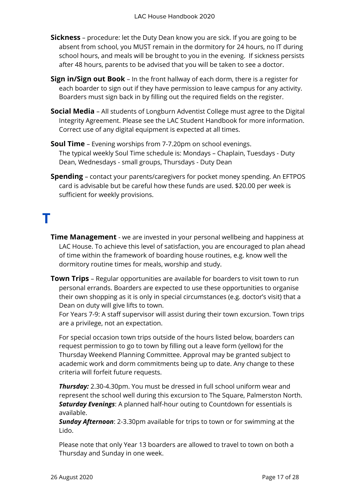- **Sickness** procedure: let the Duty Dean know you are sick. If you are going to be absent from school, you MUST remain in the dormitory for 24 hours, no IT during school hours, and meals will be brought to you in the evening. If sickness persists after 48 hours, parents to be advised that you will be taken to see a doctor.
- **Sign in/Sign out Book** In the front hallway of each dorm, there is a register for each boarder to sign out if they have permission to leave campus for any activity. Boarders must sign back in by filling out the required fields on the register.
- **Social Media** All students of Longburn Adventist College must agree to the Digital Integrity Agreement. Please see the LAC Student Handbook for more information. Correct use of any digital equipment is expected at all times.
- **Soul Time** Evening worships from 7-7.20pm on school evenings. The typical weekly Soul Time schedule is: Mondays – Chaplain, Tuesdays - Duty Dean, Wednesdays - small groups, Thursdays - Duty Dean
- **Spending** contact your parents/caregivers for pocket money spending. An EFTPOS card is advisable but be careful how these funds are used. \$20.00 per week is sufficient for weekly provisions.

# **T**

- **Time Management** we are invested in your personal wellbeing and happiness at LAC House. To achieve this level of satisfaction, you are encouraged to plan ahead of time within the framework of boarding house routines, e.g. know well the dormitory routine times for meals, worship and study.
- **Town Trips**  Regular opportunities are available for boarders to visit town to run personal errands. Boarders are expected to use these opportunities to organise their own shopping as it is only in special circumstances (e.g. doctor's visit) that a Dean on duty will give lifts to town.

For Years 7-9: A staff supervisor will assist during their town excursion. Town trips are a privilege, not an expectation.

For special occasion town trips outside of the hours listed below, boarders can request permission to go to town by filling out a leave form (yellow) for the Thursday Weekend Planning Committee. Approval may be granted subject to academic work and dorm commitments being up to date. Any change to these criteria will forfeit future requests.

*Thursday:* 2.30-4.30pm. You must be dressed in full school uniform wear and represent the school well during this excursion to The Square, Palmerston North. *Saturday Evenings*: A planned half-hour outing to Countdown for essentials is available.

*Sunday Afternoon*: 2-3.30pm available for trips to town or for swimming at the Lido.

Please note that only Year 13 boarders are allowed to travel to town on both a Thursday and Sunday in one week.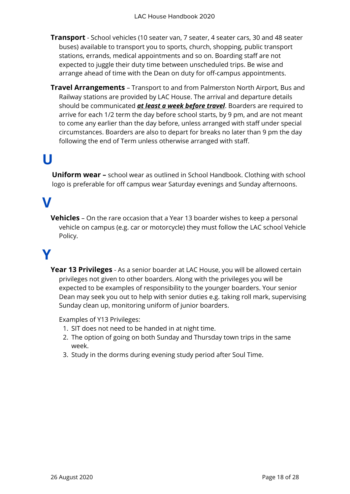- **Transport** School vehicles (10 seater van, 7 seater, 4 seater cars, 30 and 48 seater buses) available to transport you to sports, church, shopping, public transport stations, errands, medical appointments and so on. Boarding staff are not expected to juggle their duty time between unscheduled trips. Be wise and arrange ahead of time with the Dean on duty for off-campus appointments.
- **Travel Arrangements** Transport to and from Palmerston North Airport, Bus and Railway stations are provided by LAC House. The arrival and departure details should be communicated *at least a week before travel*. Boarders are required to arrive for each 1/2 term the day before school starts, by 9 pm, and are not meant to come any earlier than the day before, unless arranged with staff under special circumstances. Boarders are also to depart for breaks no later than 9 pm the day following the end of Term unless otherwise arranged with staff.

# **U**

**Uniform wear –** school wear as outlined in School Handbook. Clothing with school logo is preferable for off campus wear Saturday evenings and Sunday afternoons.

# **V**

**Vehicles** – On the rare occasion that a Year 13 boarder wishes to keep a personal vehicle on campus (e.g. car or motorcycle) they must follow the LAC school Vehicle Policy.

# **Y**

**Year 13 Privileges** - As a senior boarder at LAC House, you will be allowed certain privileges not given to other boarders. Along with the privileges you will be expected to be examples of responsibility to the younger boarders. Your senior Dean may seek you out to help with senior duties e.g. taking roll mark, supervising Sunday clean up, monitoring uniform of junior boarders.

Examples of Y13 Privileges:

- 1. SIT does not need to be handed in at night time.
- 2. The option of going on both Sunday and Thursday town trips in the same week.
- 3. Study in the dorms during evening study period after Soul Time.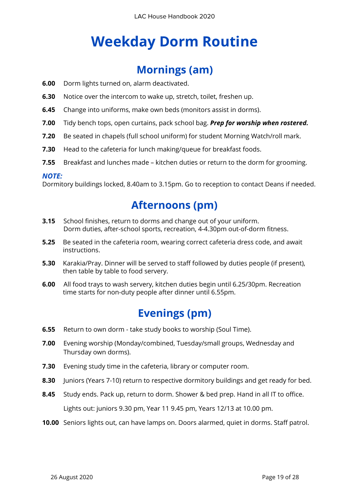# **Weekday Dorm Routine**

### **Mornings (am)**

- **6.00** Dorm lights turned on, alarm deactivated.
- **6.30** Notice over the intercom to wake up, stretch, toilet, freshen up.
- **6.45** Change into uniforms, make own beds (monitors assist in dorms).
- **7.00** Tidy bench tops, open curtains, pack school bag. *Prep for worship when rostered.*
- **7.20** Be seated in chapels (full school uniform) for student Morning Watch/roll mark.
- **7.30** Head to the cafeteria for lunch making/queue for breakfast foods.
- **7.55** Breakfast and lunches made kitchen duties or return to the dorm for grooming.

#### *NOTE:*

Dormitory buildings locked, 8.40am to 3.15pm. Go to reception to contact Deans if needed.

### **Afternoons (pm)**

- **3.15** School finishes, return to dorms and change out of your uniform. Dorm duties, after-school sports, recreation, 4-4.30pm out-of-dorm fitness.
- **5.25** Be seated in the cafeteria room, wearing correct cafeteria dress code, and await instructions.
- **5.30** Karakia/Pray. Dinner will be served to staff followed by duties people (if present), then table by table to food servery.
- **6.00** All food trays to wash servery, kitchen duties begin until 6.25/30pm. Recreation time starts for non-duty people after dinner until 6.55pm.

### **Evenings (pm)**

- **6.55** Return to own dorm take study books to worship (Soul Time).
- **7.00** Evening worship (Monday/combined, Tuesday/small groups, Wednesday and Thursday own dorms).
- **7.30** Evening study time in the cafeteria, library or computer room.
- **8.30** Juniors (Years 7-10) return to respective dormitory buildings and get ready for bed.
- **8.45** Study ends. Pack up, return to dorm. Shower & bed prep. Hand in all IT to office. Lights out: juniors 9.30 pm, Year 11 9.45 pm, Years 12/13 at 10.00 pm.
- **10.00** Seniors lights out, can have lamps on. Doors alarmed, quiet in dorms. Staff patrol.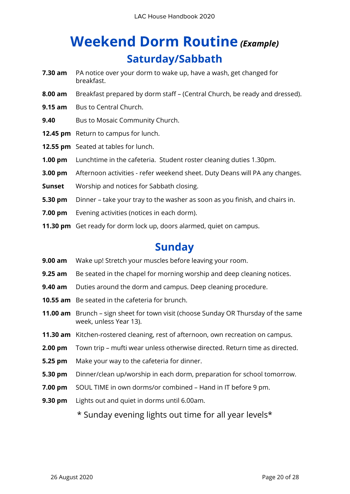# **Weekend Dorm Routine** *(Example)* **Saturday/Sabbath**

- **7.30 am** PA notice over your dorm to wake up, have a wash, get changed for breakfast.
- **8.00 am** Breakfast prepared by dorm staff (Central Church, be ready and dressed).
- **9.15 am** Bus to Central Church.
- **9.40** Bus to Mosaic Community Church.
- **12.45 pm** Return to campus for lunch.
- **12.55 pm** Seated at tables for lunch.
- **1.00 pm** Lunchtime in the cafeteria. Student roster cleaning duties 1.30pm.
- **3.00 pm** Afternoon activities refer weekend sheet. Duty Deans will PA any changes.
- **Sunset** Worship and notices for Sabbath closing.
- **5.30 pm** Dinner take your tray to the washer as soon as you finish, and chairs in.
- **7.00 pm** Evening activities (notices in each dorm).
- **11.30 pm** Get ready for dorm lock up, doors alarmed, quiet on campus.

### **Sunday**

- **9.00 am** Wake up! Stretch your muscles before leaving your room.
- **9.25 am** Be seated in the chapel for morning worship and deep cleaning notices.
- **9.40 am** Duties around the dorm and campus. Deep cleaning procedure.
- **10.55 am** Be seated in the cafeteria for brunch.
- **11.00 am** Brunch sign sheet for town visit (choose Sunday OR Thursday of the same week, unless Year 13).
- **11.30 am** Kitchen-rostered cleaning, rest of afternoon, own recreation on campus.
- **2.00 pm** Town trip mufti wear unless otherwise directed. Return time as directed.
- **5.25 pm** Make your way to the cafeteria for dinner.
- **5.30 pm** Dinner/clean up/worship in each dorm, preparation for school tomorrow.
- **7.00 pm** SOUL TIME in own dorms/or combined Hand in IT before 9 pm.
- **9.30 pm** Lights out and quiet in dorms until 6.00am.

\* Sunday evening lights out time for all year levels\*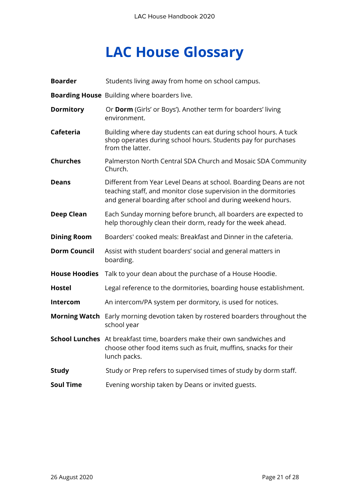# **LAC House Glossary**

| <b>Boarder</b>       | Students living away from home on school campus.                                                                                                                                                     |
|----------------------|------------------------------------------------------------------------------------------------------------------------------------------------------------------------------------------------------|
|                      | Boarding House Building where boarders live.                                                                                                                                                         |
| <b>Dormitory</b>     | Or Dorm (Girls' or Boys'). Another term for boarders' living<br>environment.                                                                                                                         |
| Cafeteria            | Building where day students can eat during school hours. A tuck<br>shop operates during school hours. Students pay for purchases<br>from the latter.                                                 |
| <b>Churches</b>      | Palmerston North Central SDA Church and Mosaic SDA Community<br>Church.                                                                                                                              |
| <b>Deans</b>         | Different from Year Level Deans at school. Boarding Deans are not<br>teaching staff, and monitor close supervision in the dormitories<br>and general boarding after school and during weekend hours. |
| <b>Deep Clean</b>    | Each Sunday morning before brunch, all boarders are expected to<br>help thoroughly clean their dorm, ready for the week ahead.                                                                       |
| <b>Dining Room</b>   | Boarders' cooked meals: Breakfast and Dinner in the cafeteria.                                                                                                                                       |
| <b>Dorm Council</b>  | Assist with student boarders' social and general matters in<br>boarding.                                                                                                                             |
| <b>House Hoodies</b> | Talk to your dean about the purchase of a House Hoodie.                                                                                                                                              |
| <b>Hostel</b>        | Legal reference to the dormitories, boarding house establishment.                                                                                                                                    |
| Intercom             | An intercom/PA system per dormitory, is used for notices.                                                                                                                                            |
|                      | Morning Watch Early morning devotion taken by rostered boarders throughout the<br>school year                                                                                                        |
|                      | School Lunches At breakfast time, boarders make their own sandwiches and<br>choose other food items such as fruit, muffins, snacks for their<br>lunch packs.                                         |
| <b>Study</b>         | Study or Prep refers to supervised times of study by dorm staff.                                                                                                                                     |
| <b>Soul Time</b>     | Evening worship taken by Deans or invited guests.                                                                                                                                                    |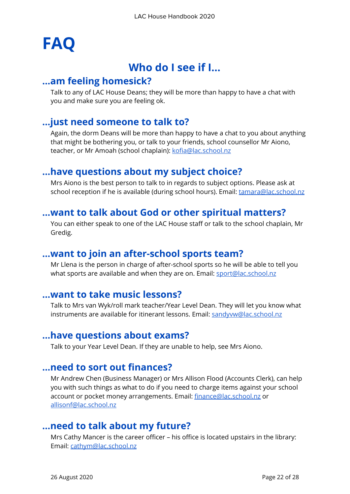# **FAQ**

## **Who do I see if I…**

#### **…am feeling homesick?**

Talk to any of LAC House Deans; they will be more than happy to have a chat with you and make sure you are feeling ok.

#### **…just need someone to talk to?**

Again, the dorm Deans will be more than happy to have a chat to you about anything that might be bothering you, or talk to your friends, school counsellor Mr Aiono, teacher, or Mr Amoah (school chaplain): [kofia@lac.school.nz](mailto:kofia@lac.school.nz)

#### **…have questions about my subject choice?**

Mrs Aiono is the best person to talk to in regards to subject options. Please ask at school reception if he is available (during school hours). Email: **[tamara@lac.school.nz](mailto:tamara@lac.school.nz)** 

#### **…want to talk about God or other spiritual matters?**

You can either speak to one of the LAC House staff or talk to the school chaplain, Mr Gredig.

#### **…want to join an after-school sports team?**

Mr Llena is the person in charge of after-school sports so he will be able to tell you what sports are available and when they are on. Email: **[sport@lac.school.nz](mailto:sport@lac.school.nz)** 

#### **…want to take music lessons?**

Talk to Mrs van Wyk/roll mark teacher/Year Level Dean. They will let you know what instruments are available for itinerant lessons. Email: [sandyvw@lac.school.nz](mailto:sandyvw@lac.school.nz)

#### **…have questions about exams?**

Talk to your Year Level Dean. If they are unable to help, see Mrs Aiono.

#### **…need to sort out finances?**

Mr Andrew Chen (Business Manager) or Mrs Allison Flood (Accounts Clerk), can help you with such things as what to do if you need to charge items against your school account or pocket money arrangements. Email: [finance@lac.school.nz](mailto:finance@lac.school.nz) or [allisonf@lac.school.nz](mailto:allisonf@lac.school.nz)

#### **…need to talk about my future?**

Mrs Cathy Mancer is the career officer – his office is located upstairs in the library: Email: [cathym@lac.school.nz](mailto:cathym@lac.school.nz)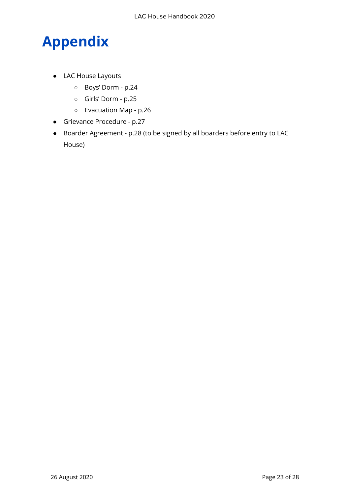# **Appendix**

- LAC House Layouts
	- Boys' Dorm p.24
	- Girls' Dorm p.25
	- Evacuation Map p.26
- Grievance Procedure p.27
- Boarder Agreement p.28 (to be signed by all boarders before entry to LAC House)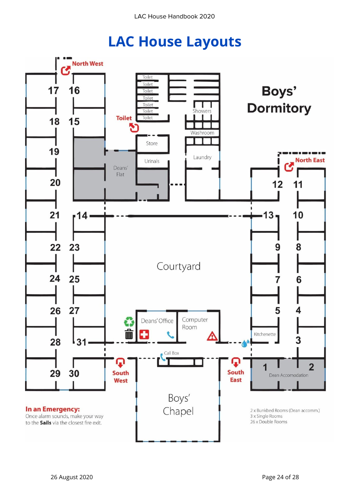# **LAC House Layouts**

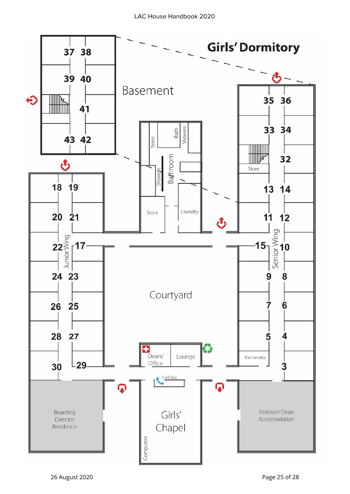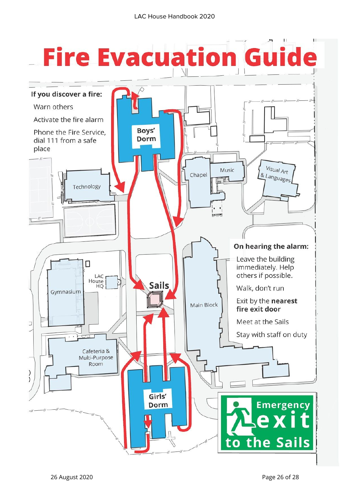# **Fire Evacuation Guide**

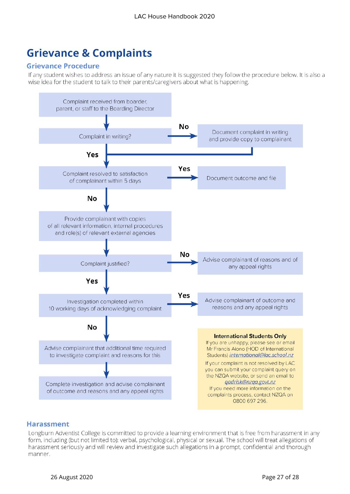## **Grievance & Complaints**

#### **Grievance Procedure**

If any student wishes to address an issue of any nature it is suggested they follow the procedure below. It is also a wise idea for the student to talk to their parents/caregivers about what is happening.



#### **Harassment**

Longburn Adventist College is committed to provide a learning environment that is free from harassment in any form, including (but not limited to): verbal, psychological, physical or sexual. The school will treat allegations of harassment seriously and will review and investigate such allegations in a prompt, confidential and thorough manner.